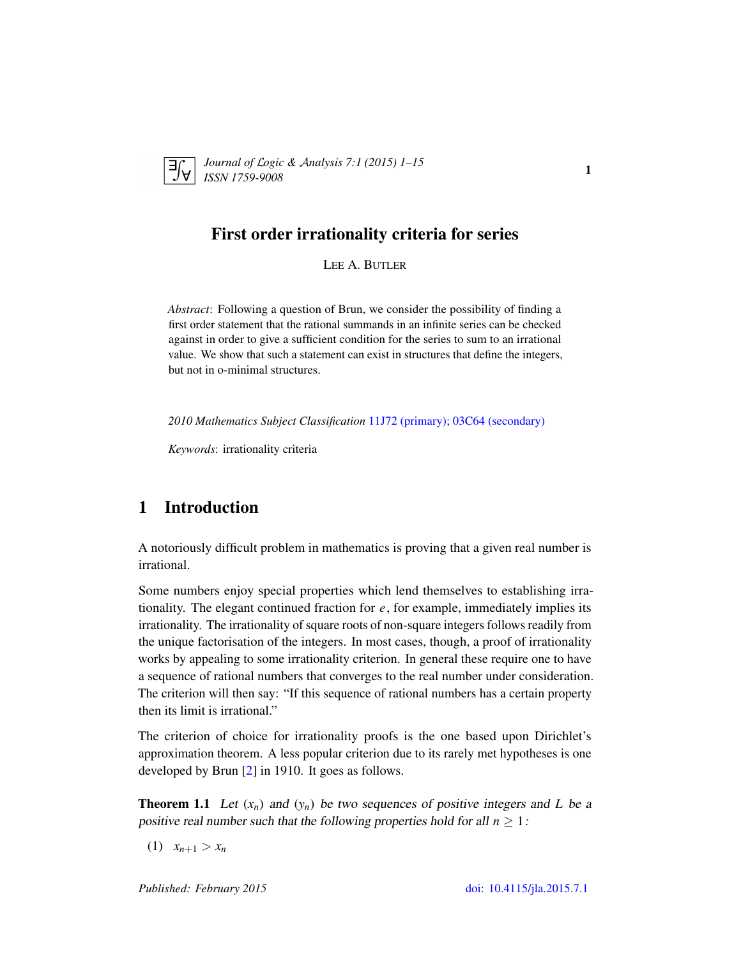

*Journal of* L*ogic &* A*nalysis 7:1 (2015) 1–15 ISSN 1759-9008* 1

# First order irrationality criteria for series

LEE A. BUTLER

*Abstract*: Following a question of Brun, we consider the possibility of finding a first order statement that the rational summands in an infinite series can be checked against in order to give a sufficient condition for the series to sum to an irrational value. We show that such a statement can exist in structures that define the integers, but not in o-minimal structures.

*2010 Mathematics Subject Classification* [11J72 \(primary\); 03C64 \(secondary\)](http://www.ams.org/mathscinet/search/mscdoc.html?code=11J72,(03C64))

*Keywords*: irrationality criteria

# 1 Introduction

A notoriously difficult problem in mathematics is proving that a given real number is irrational.

Some numbers enjoy special properties which lend themselves to establishing irrationality. The elegant continued fraction for *e*, for example, immediately implies its irrationality. The irrationality of square roots of non-square integers follows readily from the unique factorisation of the integers. In most cases, though, a proof of irrationality works by appealing to some irrationality criterion. In general these require one to have a sequence of rational numbers that converges to the real number under consideration. The criterion will then say: "If this sequence of rational numbers has a certain property then its limit is irrational."

The criterion of choice for irrationality proofs is the one based upon Dirichlet's approximation theorem. A less popular criterion due to its rarely met hypotheses is one developed by Brun [\[2\]](#page-13-0) in 1910. It goes as follows.

**Theorem 1.1** Let  $(x_n)$  and  $(y_n)$  be two sequences of positive integers and *L* be a positive real number such that the following properties hold for all  $n \geq 1$ :

 $(x_1)$   $x_{n+1} > x_n$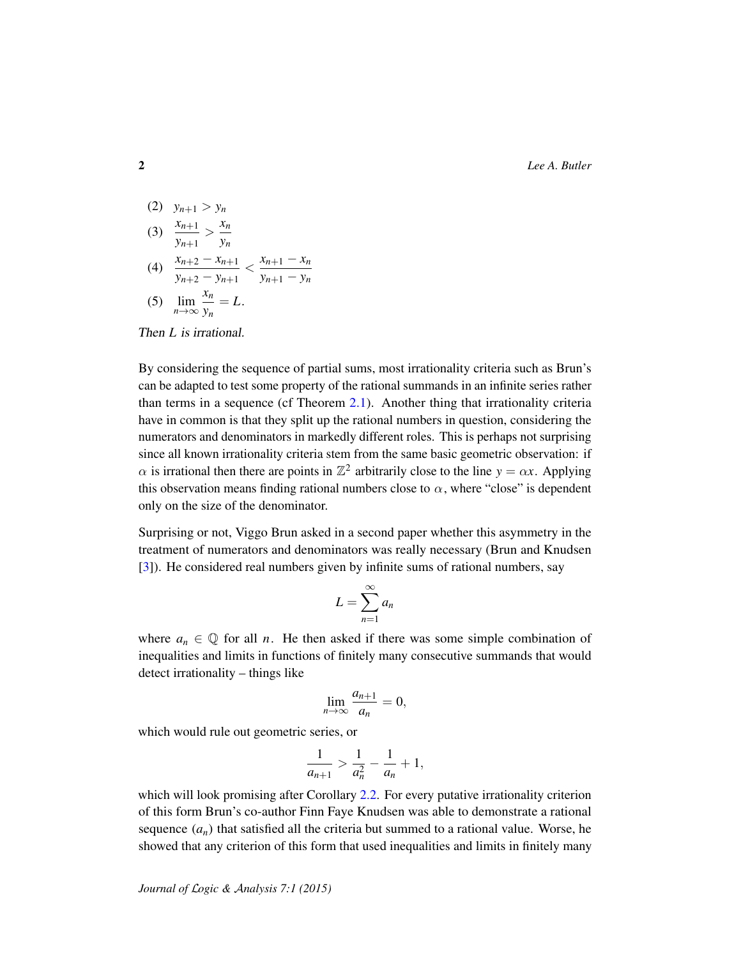2 *Lee A. Butler*

(2) 
$$
y_{n+1} > y_n
$$
  
\n(3)  $\frac{x_{n+1}}{y_{n+1}} > \frac{x_n}{y_n}$   
\n(4)  $\frac{x_{n+2} - x_{n+1}}{y_{n+2} - y_{n+1}} < \frac{x_{n+1} - x_n}{y_{n+1} - y_n}$   
\n(5)  $\lim_{n \to \infty} \frac{x_n}{y_n} = L.$ 

Then *L* is irrational.

By considering the sequence of partial sums, most irrationality criteria such as Brun's can be adapted to test some property of the rational summands in an infinite series rather than terms in a sequence (cf Theorem [2.1\)](#page-3-0). Another thing that irrationality criteria have in common is that they split up the rational numbers in question, considering the numerators and denominators in markedly different roles. This is perhaps not surprising since all known irrationality criteria stem from the same basic geometric observation: if  $\alpha$  is irrational then there are points in  $\mathbb{Z}^2$  arbitrarily close to the line  $y = \alpha x$ . Applying this observation means finding rational numbers close to  $\alpha$ , where "close" is dependent only on the size of the denominator.

Surprising or not, Viggo Brun asked in a second paper whether this asymmetry in the treatment of numerators and denominators was really necessary (Brun and Knudsen [\[3\]](#page-14-0)). He considered real numbers given by infinite sums of rational numbers, say

$$
L=\sum_{n=1}^{\infty}a_n
$$

where  $a_n \in \mathbb{Q}$  for all *n*. He then asked if there was some simple combination of inequalities and limits in functions of finitely many consecutive summands that would detect irrationality – things like

$$
\lim_{n\to\infty}\frac{a_{n+1}}{a_n}=0,
$$

which would rule out geometric series, or

$$
\frac{1}{a_{n+1}} > \frac{1}{a_n^2} - \frac{1}{a_n} + 1,
$$

which will look promising after Corollary [2.2.](#page-4-0) For every putative irrationality criterion of this form Brun's co-author Finn Faye Knudsen was able to demonstrate a rational sequence  $(a_n)$  that satisfied all the criteria but summed to a rational value. Worse, he showed that any criterion of this form that used inequalities and limits in finitely many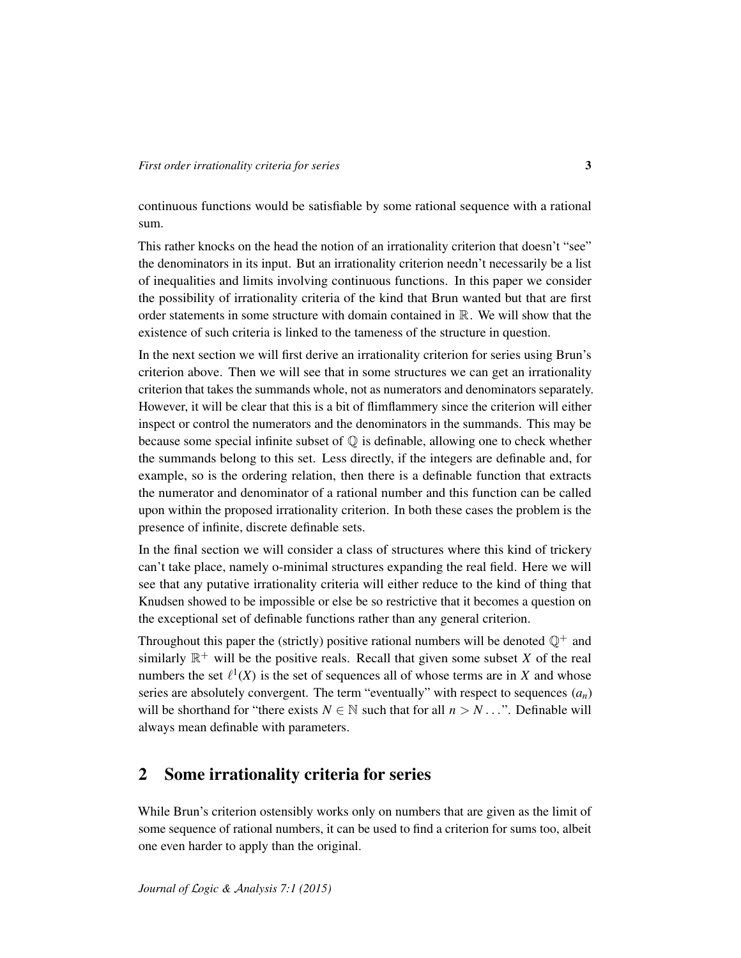continuous functions would be satisfiable by some rational sequence with a rational sum.

This rather knocks on the head the notion of an irrationality criterion that doesn't "see" the denominators in its input. But an irrationality criterion needn't necessarily be a list of inequalities and limits involving continuous functions. In this paper we consider the possibility of irrationality criteria of the kind that Brun wanted but that are first order statements in some structure with domain contained in  $\mathbb{R}$ . We will show that the existence of such criteria is linked to the tameness of the structure in question.

In the next section we will first derive an irrationality criterion for series using Brun's criterion above. Then we will see that in some structures we can get an irrationality criterion that takes the summands whole, not as numerators and denominators separately. However, it will be clear that this is a bit of flimflammery since the criterion will either inspect or control the numerators and the denominators in the summands. This may be because some special infinite subset of  $\mathbb Q$  is definable, allowing one to check whether the summands belong to this set. Less directly, if the integers are definable and, for example, so is the ordering relation, then there is a definable function that extracts the numerator and denominator of a rational number and this function can be called upon within the proposed irrationality criterion. In both these cases the problem is the presence of infinite, discrete definable sets.

In the final section we will consider a class of structures where this kind of trickery can't take place, namely o-minimal structures expanding the real field. Here we will see that any putative irrationality criteria will either reduce to the kind of thing that Knudsen showed to be impossible or else be so restrictive that it becomes a question on the exceptional set of definable functions rather than any general criterion.

Throughout this paper the (strictly) positive rational numbers will be denoted  $\mathbb{Q}^+$  and similarly  $\mathbb{R}^+$  will be the positive reals. Recall that given some subset *X* of the real numbers the set  $\ell^1(X)$  is the set of sequences all of whose terms are in *X* and whose series are absolutely convergent. The term "eventually" with respect to sequences  $(a_n)$ will be shorthand for "there exists  $N \in \mathbb{N}$  such that for all  $n > N$ ...". Definable will always mean definable with parameters.

## 2 Some irrationality criteria for series

While Brun's criterion ostensibly works only on numbers that are given as the limit of some sequence of rational numbers, it can be used to find a criterion for sums too, albeit one even harder to apply than the original.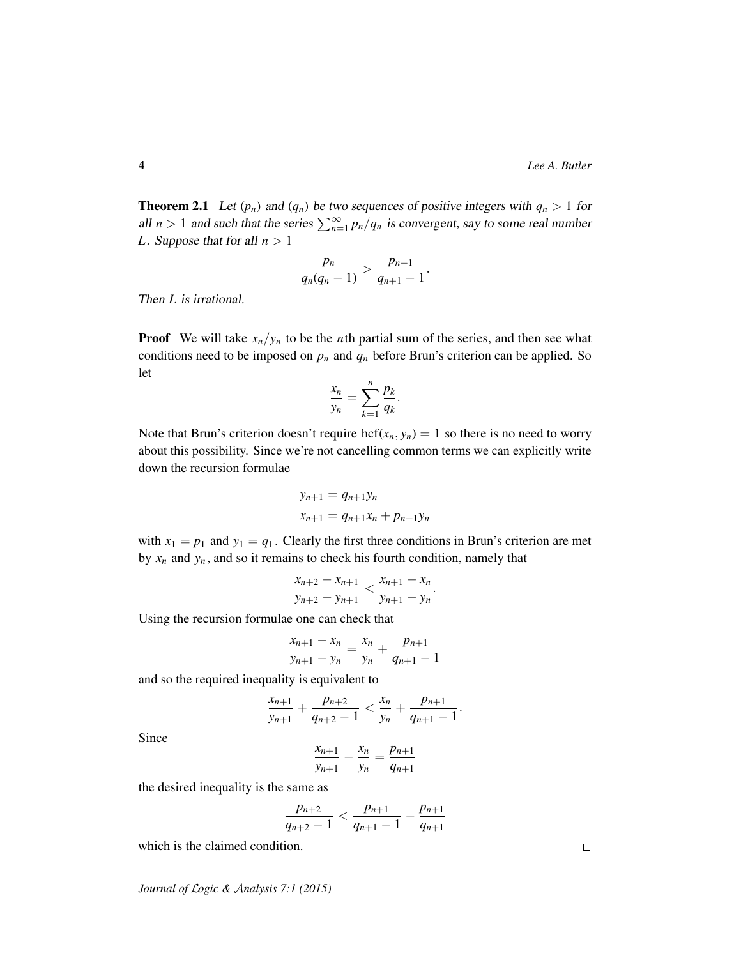<span id="page-3-0"></span>**Theorem 2.1** Let  $(p_n)$  and  $(q_n)$  be two sequences of positive integers with  $q_n > 1$  for all  $n > 1$  and such that the series  $\sum_{n=1}^{\infty} p_n/q_n$  is convergent, say to some real number *L*. Suppose that for all  $n > 1$ 

$$
\frac{p_n}{q_n(q_n-1)} > \frac{p_{n+1}}{q_{n+1}-1}.
$$

Then *L* is irrational.

**Proof** We will take  $x_n/y_n$  to be the *n*th partial sum of the series, and then see what conditions need to be imposed on  $p_n$  and  $q_n$  before Brun's criterion can be applied. So let

$$
\frac{x_n}{y_n} = \sum_{k=1}^n \frac{p_k}{q_k}.
$$

Note that Brun's criterion doesn't require hcf $(x_n, y_n) = 1$  so there is no need to worry about this possibility. Since we're not cancelling common terms we can explicitly write down the recursion formulae

$$
y_{n+1} = q_{n+1}y_n
$$
  

$$
x_{n+1} = q_{n+1}x_n + p_{n+1}y_n
$$

with  $x_1 = p_1$  and  $y_1 = q_1$ . Clearly the first three conditions in Brun's criterion are met by  $x_n$  and  $y_n$ , and so it remains to check his fourth condition, namely that

$$
\frac{x_{n+2} - x_{n+1}}{y_{n+2} - y_{n+1}} < \frac{x_{n+1} - x_n}{y_{n+1} - y_n}.
$$

Using the recursion formulae one can check that

$$
\frac{x_{n+1} - x_n}{y_{n+1} - y_n} = \frac{x_n}{y_n} + \frac{p_{n+1}}{q_{n+1} - 1}
$$

and so the required inequality is equivalent to

$$
\frac{x_{n+1}}{y_{n+1}} + \frac{p_{n+2}}{q_{n+2}-1} < \frac{x_n}{y_n} + \frac{p_{n+1}}{q_{n+1}-1}.
$$

Since

$$
\frac{x_{n+1}}{y_{n+1}} - \frac{x_n}{y_n} = \frac{p_{n+1}}{q_{n+1}}
$$

the desired inequality is the same as

$$
\frac{p_{n+2}}{q_{n+2}-1} < \frac{p_{n+1}}{q_{n+1}-1} - \frac{p_{n+1}}{q_{n+1}}
$$

which is the claimed condition.

*Journal of* L*ogic &* A*nalysis 7:1 (2015)*

 $\Box$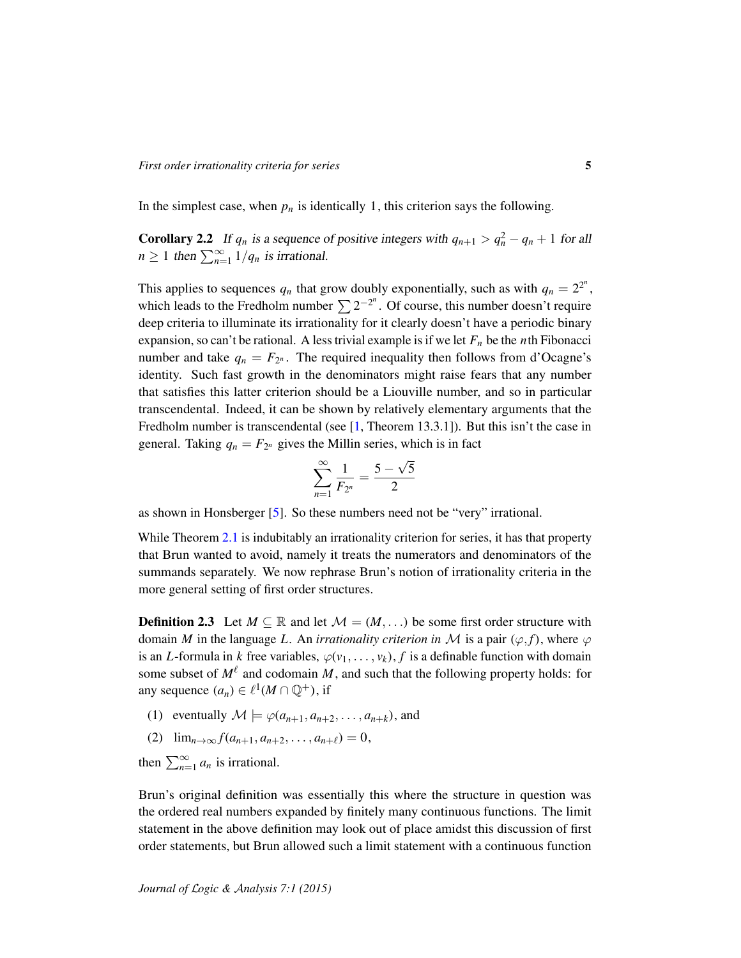In the simplest case, when  $p_n$  is identically 1, this criterion says the following.

<span id="page-4-0"></span>**Corollary 2.2** If  $q_n$  is a sequence of positive integers with  $q_{n+1} > q_n^2 - q_n + 1$  for all  $n \geq 1$  then  $\sum_{n=1}^{\infty} 1/q_n$  is irrational.

This applies to sequences  $q_n$  that grow doubly exponentially, such as with  $q_n = 2^{2^n}$ , which leads to the Fredholm number  $\sum 2^{-2^n}$ . Of course, this number doesn't require deep criteria to illuminate its irrationality for it clearly doesn't have a periodic binary expansion, so can't be rational. A less trivial example is if we let  $F<sub>n</sub>$  be the *n*th Fibonacci number and take  $q_n = F_{2^n}$ . The required inequality then follows from d'Ocagne's identity. Such fast growth in the denominators might raise fears that any number that satisfies this latter criterion should be a Liouville number, and so in particular transcendental. Indeed, it can be shown by relatively elementary arguments that the Fredholm number is transcendental (see  $[1,$  Theorem 13.3.1]). But this isn't the case in general. Taking  $q_n = F_{2^n}$  gives the Millin series, which is in fact

$$
\sum_{n=1}^{\infty} \frac{1}{F_{2^n}} = \frac{5 - \sqrt{5}}{2}
$$

as shown in Honsberger [\[5\]](#page-14-1). So these numbers need not be "very" irrational.

While Theorem [2.1](#page-3-0) is indubitably an irrationality criterion for series, it has that property that Brun wanted to avoid, namely it treats the numerators and denominators of the summands separately. We now rephrase Brun's notion of irrationality criteria in the more general setting of first order structures.

**Definition 2.3** Let  $M \subseteq \mathbb{R}$  and let  $\mathcal{M} = (M, \dots)$  be some first order structure with domain *M* in the language *L*. An *irrationality criterion in M* is a pair  $(\varphi, f)$ , where  $\varphi$ is an *L*-formula in *k* free variables,  $\varphi(v_1, \ldots, v_k)$ , *f* is a definable function with domain some subset of  $M^{\ell}$  and codomain *M*, and such that the following property holds: for any sequence  $(a_n) \in \ell^1(M \cap \mathbb{Q}^+)$ , if

- (1) eventually  $\mathcal{M} \models \varphi(a_{n+1}, a_{n+2}, \dots, a_{n+k})$ , and
- (2)  $\lim_{n\to\infty} f(a_{n+1}, a_{n+2}, \ldots, a_{n+\ell}) = 0$ ,

then  $\sum_{n=1}^{\infty} a_n$  is irrational.

Brun's original definition was essentially this where the structure in question was the ordered real numbers expanded by finitely many continuous functions. The limit statement in the above definition may look out of place amidst this discussion of first order statements, but Brun allowed such a limit statement with a continuous function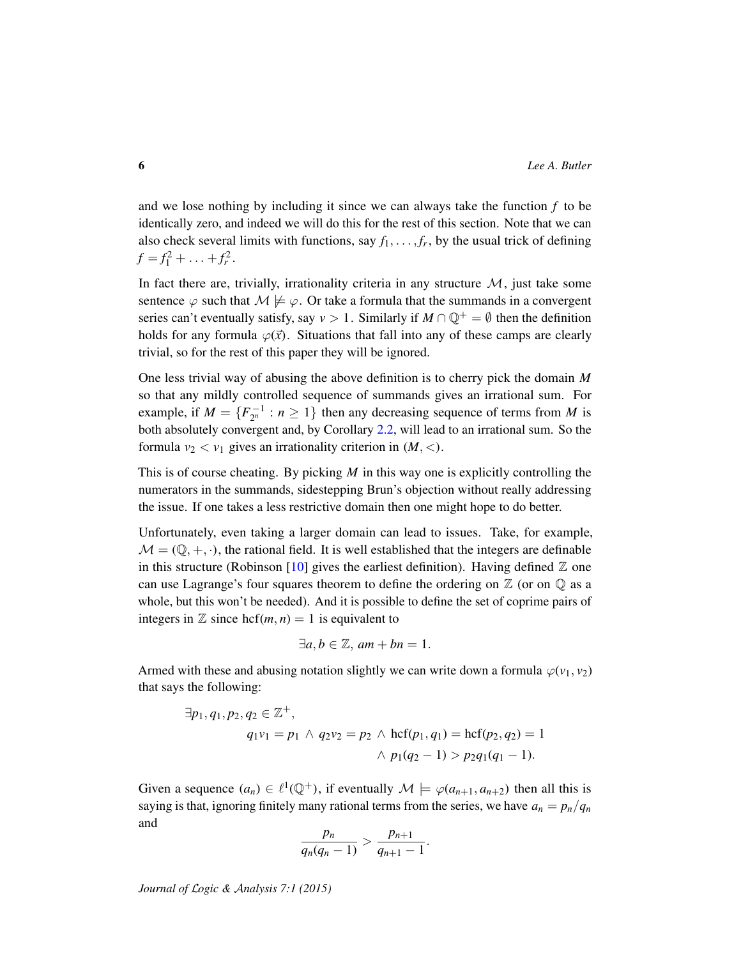and we lose nothing by including it since we can always take the function  $f$  to be identically zero, and indeed we will do this for the rest of this section. Note that we can also check several limits with functions, say  $f_1, \ldots, f_r$ , by the usual trick of defining  $f = f_1^2 + \ldots + f_r^2.$ 

In fact there are, trivially, irrationality criteria in any structure  $\mathcal{M}$ , just take some sentence  $\varphi$  such that  $\mathcal{M} \not\models \varphi$ . Or take a formula that the summands in a convergent series can't eventually satisfy, say  $v > 1$ . Similarly if  $M \cap \mathbb{Q}^+ = \emptyset$  then the definition holds for any formula  $\varphi(\vec{x})$ . Situations that fall into any of these camps are clearly trivial, so for the rest of this paper they will be ignored.

One less trivial way of abusing the above definition is to cherry pick the domain *M* so that any mildly controlled sequence of summands gives an irrational sum. For example, if  $M = \{F_{2^n}^{-1} : n \ge 1\}$  then any decreasing sequence of terms from *M* is both absolutely convergent and, by Corollary [2.2,](#page-4-0) will lead to an irrational sum. So the formula  $v_2 < v_1$  gives an irrationality criterion in  $(M, <)$ .

This is of course cheating. By picking *M* in this way one is explicitly controlling the numerators in the summands, sidestepping Brun's objection without really addressing the issue. If one takes a less restrictive domain then one might hope to do better.

Unfortunately, even taking a larger domain can lead to issues. Take, for example,  $M = (\mathbb{Q}, +, \cdot)$ , the rational field. It is well established that the integers are definable in this structure (Robinson [\[10\]](#page-14-2) gives the earliest definition). Having defined  $\mathbb Z$  one can use Lagrange's four squares theorem to define the ordering on  $\mathbb Z$  (or on  $\mathbb Q$  as a whole, but this won't be needed). And it is possible to define the set of coprime pairs of integers in  $\mathbb Z$  since hcf(*m*, *n*) = 1 is equivalent to

$$
\exists a, b \in \mathbb{Z}, am + bn = 1.
$$

Armed with these and abusing notation slightly we can write down a formula  $\varphi(\nu_1, \nu_2)$ that says the following:

$$
\exists p_1, q_1, p_2, q_2 \in \mathbb{Z}^+,
$$
  
\n
$$
q_1v_1 = p_1 \land q_2v_2 = p_2 \land \text{hcf}(p_1, q_1) = \text{hcf}(p_2, q_2) = 1
$$
  
\n
$$
\land p_1(q_2 - 1) > p_2q_1(q_1 - 1).
$$

Given a sequence  $(a_n) \in \ell^1(\mathbb{Q}^+)$ , if eventually  $\mathcal{M} \models \varphi(a_{n+1}, a_{n+2})$  then all this is saying is that, ignoring finitely many rational terms from the series, we have  $a_n = p_n/q_n$ and

$$
\frac{p_n}{q_n(q_n-1)} > \frac{p_{n+1}}{q_{n+1}-1}.
$$

*Journal of* L*ogic &* A*nalysis 7:1 (2015)*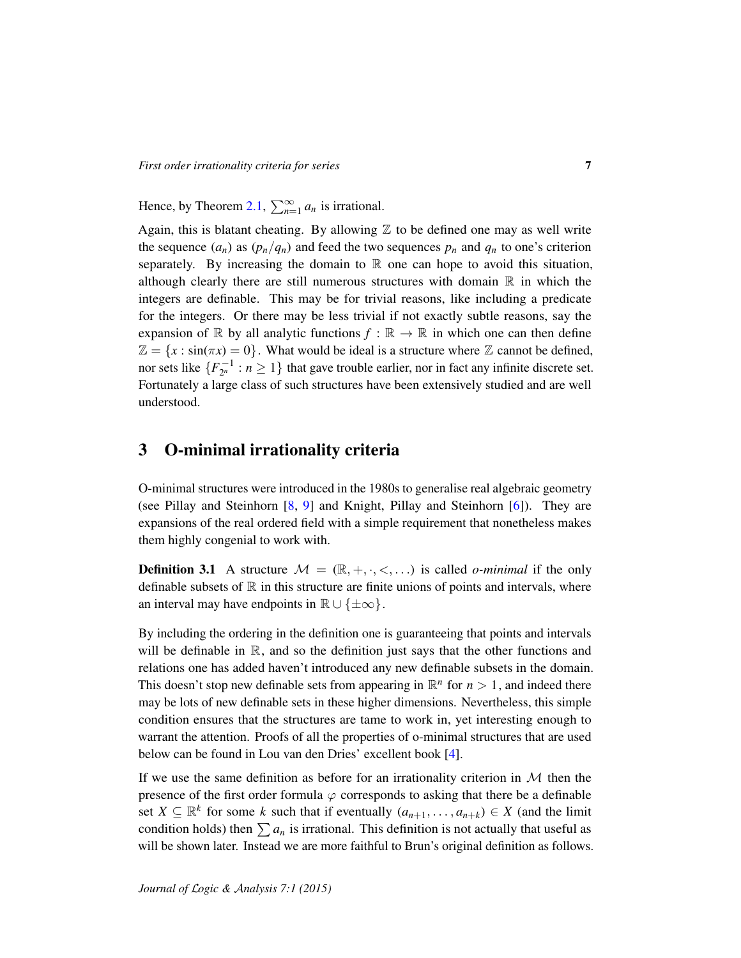Hence, by Theorem [2.1,](#page-3-0)  $\sum_{n=1}^{\infty} a_n$  is irrational.

Again, this is blatant cheating. By allowing  $\mathbb Z$  to be defined one may as well write the sequence  $(a_n)$  as  $(p_n/q_n)$  and feed the two sequences  $p_n$  and  $q_n$  to one's criterion separately. By increasing the domain to  $\mathbb R$  one can hope to avoid this situation, although clearly there are still numerous structures with domain  $\mathbb R$  in which the integers are definable. This may be for trivial reasons, like including a predicate for the integers. Or there may be less trivial if not exactly subtle reasons, say the expansion of R by all analytic functions  $f : \mathbb{R} \to \mathbb{R}$  in which one can then define  $\mathbb{Z} = \{x : \sin(\pi x) = 0\}$ . What would be ideal is a structure where  $\mathbb{Z}$  cannot be defined, nor sets like  $\{F_{2^n}^{-1} : n \ge 1\}$  that gave trouble earlier, nor in fact any infinite discrete set. Fortunately a large class of such structures have been extensively studied and are well understood.

### 3 O-minimal irrationality criteria

O-minimal structures were introduced in the 1980s to generalise real algebraic geometry (see Pillay and Steinhorn [\[8,](#page-14-3) [9\]](#page-14-4) and Knight, Pillay and Steinhorn [\[6\]](#page-14-5)). They are expansions of the real ordered field with a simple requirement that nonetheless makes them highly congenial to work with.

**Definition 3.1** A structure  $M = (\mathbb{R}, +, \cdot, <, \ldots)$  is called *o-minimal* if the only definable subsets of  $\mathbb R$  in this structure are finite unions of points and intervals, where an interval may have endpoints in  $\mathbb{R} \cup \{\pm \infty\}.$ 

By including the ordering in the definition one is guaranteeing that points and intervals will be definable in  $\mathbb R$ , and so the definition just says that the other functions and relations one has added haven't introduced any new definable subsets in the domain. This doesn't stop new definable sets from appearing in  $\mathbb{R}^n$  for  $n > 1$ , and indeed there may be lots of new definable sets in these higher dimensions. Nevertheless, this simple condition ensures that the structures are tame to work in, yet interesting enough to warrant the attention. Proofs of all the properties of o-minimal structures that are used below can be found in Lou van den Dries' excellent book [\[4\]](#page-14-6).

If we use the same definition as before for an irrationality criterion in  $M$  then the presence of the first order formula  $\varphi$  corresponds to asking that there be a definable set  $X \subseteq \mathbb{R}^k$  for some *k* such that if eventually  $(a_{n+1}, \ldots, a_{n+k}) \in X$  (and the limit condition holds) then  $\sum a_n$  is irrational. This definition is not actually that useful as will be shown later. Instead we are more faithful to Brun's original definition as follows.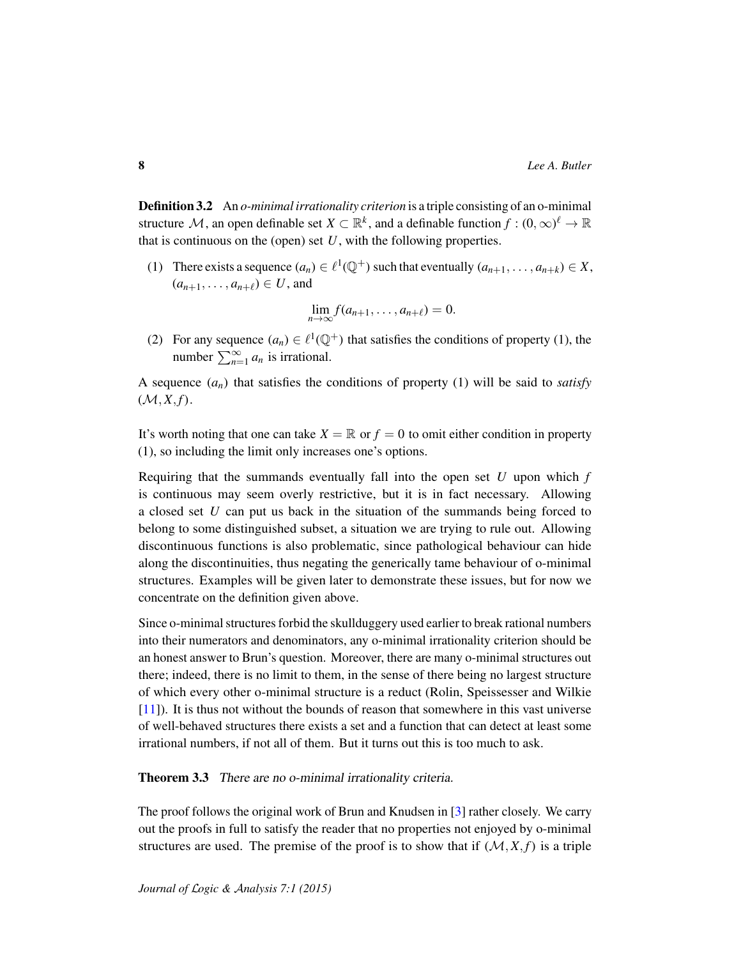Definition 3.2 An *o-minimal irrationality criterion* is a triple consisting of an o-minimal structure  $\mathcal M$ , an open definable set  $X\subset\mathbb R^k$ , and a definable function  $f:(0,\infty)^{\ell}\to\mathbb R$ that is continuous on the (open) set *U*, with the following properties.

(1) There exists a sequence  $(a_n) \in \ell^1(\mathbb{Q}^+)$  such that eventually  $(a_{n+1}, \ldots, a_{n+k}) \in X$ ,  $(a_{n+1}, \ldots, a_{n+\ell}) \in U$ , and

$$
\lim_{n\to\infty}f(a_{n+1},\ldots,a_{n+\ell})=0.
$$

(2) For any sequence  $(a_n) \in \ell^1(\mathbb{Q}^+)$  that satisfies the conditions of property (1), the number  $\sum_{n=1}^{\infty} a_n$  is irrational.

A sequence  $(a_n)$  that satisfies the conditions of property (1) will be said to *satisfy*  $(\mathcal{M}, X, f).$ 

It's worth noting that one can take  $X = \mathbb{R}$  or  $f = 0$  to omit either condition in property (1), so including the limit only increases one's options.

Requiring that the summands eventually fall into the open set *U* upon which *f* is continuous may seem overly restrictive, but it is in fact necessary. Allowing a closed set *U* can put us back in the situation of the summands being forced to belong to some distinguished subset, a situation we are trying to rule out. Allowing discontinuous functions is also problematic, since pathological behaviour can hide along the discontinuities, thus negating the generically tame behaviour of o-minimal structures. Examples will be given later to demonstrate these issues, but for now we concentrate on the definition given above.

Since o-minimal structures forbid the skullduggery used earlier to break rational numbers into their numerators and denominators, any o-minimal irrationality criterion should be an honest answer to Brun's question. Moreover, there are many o-minimal structures out there; indeed, there is no limit to them, in the sense of there being no largest structure of which every other o-minimal structure is a reduct (Rolin, Speissesser and Wilkie [\[11\]](#page-14-7)). It is thus not without the bounds of reason that somewhere in this vast universe of well-behaved structures there exists a set and a function that can detect at least some irrational numbers, if not all of them. But it turns out this is too much to ask.

<span id="page-7-0"></span>Theorem 3.3 There are no o-minimal irrationality criteria.

The proof follows the original work of Brun and Knudsen in [\[3\]](#page-14-0) rather closely. We carry out the proofs in full to satisfy the reader that no properties not enjoyed by o-minimal structures are used. The premise of the proof is to show that if  $(M, X, f)$  is a triple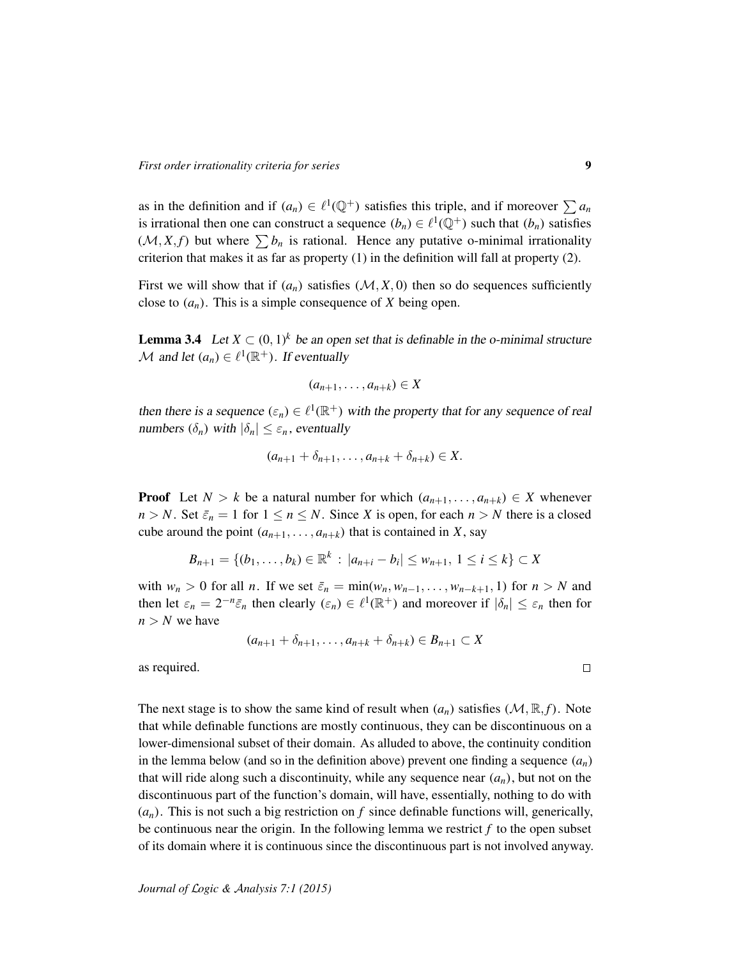as in the definition and if  $(a_n) \in \ell^1(\mathbb{Q}^+)$  satisfies this triple, and if moreover  $\sum a_n$ is irrational then one can construct a sequence  $(b_n) \in \ell^1(\mathbb{Q}^+)$  such that  $(b_n)$  satisfies  $(M, X, f)$  but where  $\sum b_n$  is rational. Hence any putative o-minimal irrationality criterion that makes it as far as property (1) in the definition will fall at property (2).

First we will show that if  $(a_n)$  satisfies  $(M, X, 0)$  then so do sequences sufficiently close to  $(a_n)$ . This is a simple consequence of *X* being open.

<span id="page-8-0"></span>**Lemma 3.4** Let  $X \subset (0, 1)^k$  be an open set that is definable in the o-minimal structure *M* and let  $(a_n) \in \ell^1(\mathbb{R}^+)$ . If eventually

$$
(a_{n+1},\ldots,a_{n+k})\in X
$$

then there is a sequence  $(\epsilon_n) \in \ell^1(\mathbb{R}^+)$  with the property that for any sequence of real numbers  $(\delta_n)$  with  $|\delta_n| \leq \varepsilon_n$ , eventually

$$
(a_{n+1}+\delta_{n+1},\ldots,a_{n+k}+\delta_{n+k})\in X.
$$

**Proof** Let  $N > k$  be a natural number for which  $(a_{n+1}, \ldots, a_{n+k}) \in X$  whenever  $n > N$ . Set  $\bar{\varepsilon}_n = 1$  for  $1 \le n \le N$ . Since *X* is open, for each  $n > N$  there is a closed cube around the point  $(a_{n+1}, \ldots, a_{n+k})$  that is contained in *X*, say

$$
B_{n+1} = \{(b_1, \ldots, b_k) \in \mathbb{R}^k : |a_{n+i} - b_i| \le w_{n+1}, 1 \le i \le k\} \subset X
$$

with  $w_n > 0$  for all *n*. If we set  $\bar{\varepsilon}_n = \min(w_n, w_{n-1}, \dots, w_{n-k+1}, 1)$  for  $n > N$  and then let  $\varepsilon_n = 2^{-n} \bar{\varepsilon}_n$  then clearly  $(\varepsilon_n) \in \ell^1(\mathbb{R}^+)$  and moreover if  $|\delta_n| \leq \varepsilon_n$  then for  $n > N$  we have

$$
(a_{n+1}+\delta_{n+1},\ldots,a_{n+k}+\delta_{n+k})\in B_{n+1}\subset X
$$

as required.

The next stage is to show the same kind of result when  $(a_n)$  satisfies  $(M, \mathbb{R}, f)$ . Note that while definable functions are mostly continuous, they can be discontinuous on a lower-dimensional subset of their domain. As alluded to above, the continuity condition in the lemma below (and so in the definition above) prevent one finding a sequence  $(a_n)$ that will ride along such a discontinuity, while any sequence near  $(a_n)$ , but not on the discontinuous part of the function's domain, will have, essentially, nothing to do with  $(a_n)$ . This is not such a big restriction on f since definable functions will, generically, be continuous near the origin. In the following lemma we restrict *f* to the open subset of its domain where it is continuous since the discontinuous part is not involved anyway.

 $\Box$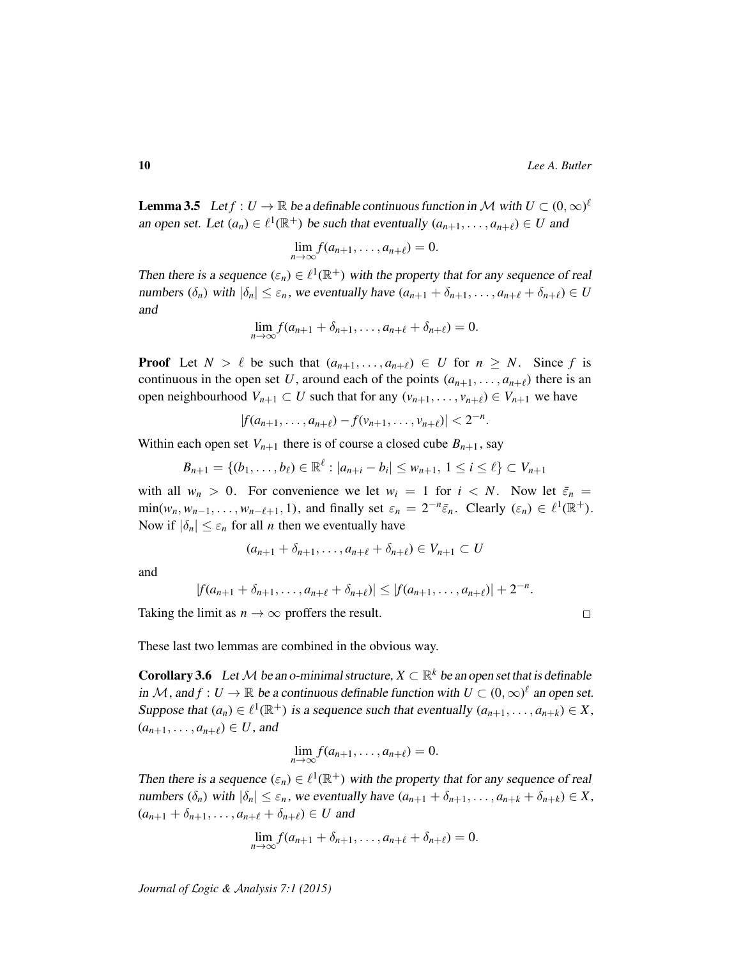**Lemma 3.5** Let  $f: U \to \mathbb{R}$  be a definable continuous function in M with  $U \subset (0,\infty)^{\ell}$ an open set. Let  $(a_n) \in \ell^1(\mathbb{R}^+)$  be such that eventually  $(a_{n+1}, \ldots, a_{n+\ell}) \in U$  and

$$
\lim_{n\to\infty}f(a_{n+1},\ldots,a_{n+\ell})=0.
$$

Then there is a sequence  $(\varepsilon_n) \in \ell^1(\mathbb{R}^+)$  with the property that for any sequence of real numbers  $(\delta_n)$  with  $|\delta_n| \leq \varepsilon_n$ , we eventually have  $(a_{n+1} + \delta_{n+1}, \ldots, a_{n+\ell} + \delta_{n+\ell}) \in U$ and

$$
\lim_{n\to\infty}f(a_{n+1}+\delta_{n+1},\ldots,a_{n+\ell}+\delta_{n+\ell})=0.
$$

**Proof** Let  $N > \ell$  be such that  $(a_{n+1}, \ldots, a_{n+\ell}) \in U$  for  $n \geq N$ . Since f is continuous in the open set U, around each of the points  $(a_{n+1}, \ldots, a_{n+\ell})$  there is an open neighbourhood  $V_{n+1} \subset U$  such that for any  $(v_{n+1}, \ldots, v_{n+\ell}) \in V_{n+1}$  we have

$$
|f(a_{n+1},\ldots,a_{n+\ell})-f(v_{n+1},\ldots,v_{n+\ell})|<2^{-n}.
$$

Within each open set  $V_{n+1}$  there is of course a closed cube  $B_{n+1}$ , say

$$
B_{n+1} = \{(b_1, \ldots, b_\ell) \in \mathbb{R}^\ell : |a_{n+i} - b_i| \le w_{n+1}, 1 \le i \le \ell\} \subset V_{n+1}
$$

with all  $w_n > 0$ . For convenience we let  $w_i = 1$  for  $i < N$ . Now let  $\bar{\varepsilon}_n =$  $\min(w_n, w_{n-1}, \dots, w_{n-\ell+1}, 1)$ , and finally set  $\varepsilon_n = 2^{-n} \bar{\varepsilon}_n$ . Clearly  $(\varepsilon_n) \in \ell^1(\mathbb{R}^+)$ . Now if  $|\delta_n| \leq \varepsilon_n$  for all *n* then we eventually have

$$
(a_{n+1}+\delta_{n+1},\ldots,a_{n+\ell}+\delta_{n+\ell})\in V_{n+1}\subset U
$$

and

$$
|f(a_{n+1}+\delta_{n+1},\ldots,a_{n+\ell}+\delta_{n+\ell})|\leq |f(a_{n+1},\ldots,a_{n+\ell})|+2^{-n}.
$$

Taking the limit as  $n \to \infty$  proffers the result.

 $\Box$ 

These last two lemmas are combined in the obvious way.

<span id="page-9-0"></span>**Corollary 3.6** Let M be an o-minimal structure,  $X \subset \mathbb{R}^k$  be an open set that is definable in M, and  $f: U \to \mathbb{R}$  be a continuous definable function with  $U \subset (0,\infty)^{\ell}$  an open set. Suppose that  $(a_n) \in \ell^1(\mathbb{R}^+)$  is a sequence such that eventually  $(a_{n+1}, \ldots, a_{n+k}) \in X$ ,  $(a_{n+1}, \ldots, a_{n+\ell}) \in U$ , and

$$
\lim_{n\to\infty}f(a_{n+1},\ldots,a_{n+\ell})=0.
$$

Then there is a sequence  $(\epsilon_n) \in \ell^1(\mathbb{R}^+)$  with the property that for any sequence of real numbers  $(\delta_n)$  with  $|\delta_n| \leq \varepsilon_n$ , we eventually have  $(a_{n+1} + \delta_{n+1}, \ldots, a_{n+k} + \delta_{n+k}) \in X$ ,  $(a_{n+1} + \delta_{n+1}, \ldots, a_{n+\ell} + \delta_{n+\ell}) \in U$  and

$$
\lim_{n\to\infty}f(a_{n+1}+\delta_{n+1},\ldots,a_{n+\ell}+\delta_{n+\ell})=0.
$$

*Journal of* L*ogic &* A*nalysis 7:1 (2015)*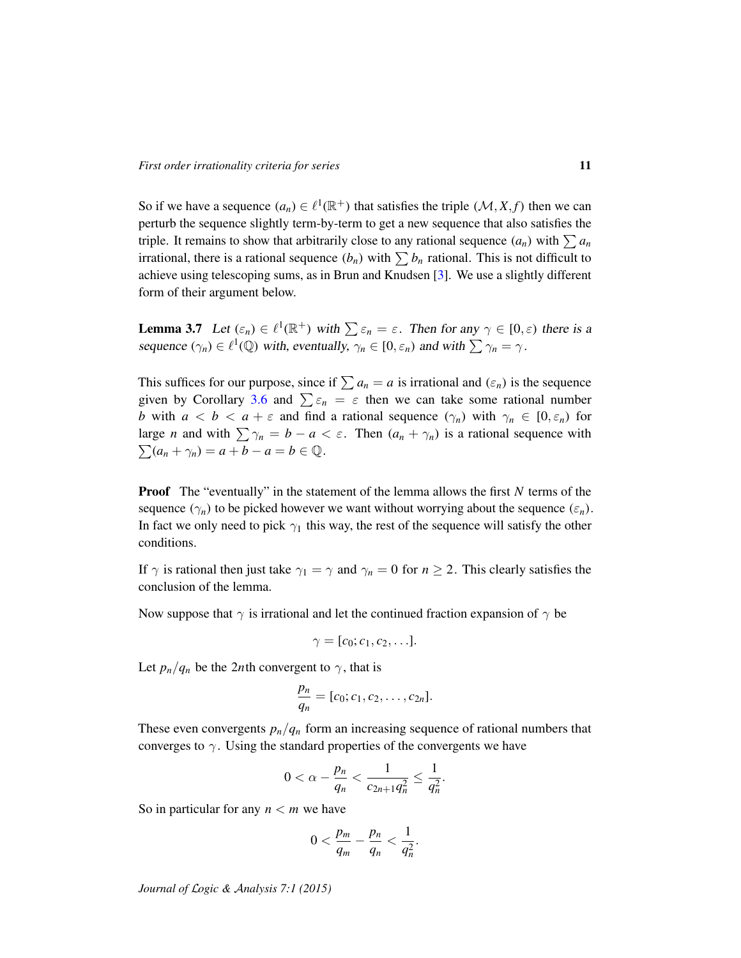So if we have a sequence  $(a_n) \in \ell^1(\mathbb{R}^+)$  that satisfies the triple  $(\mathcal{M}, X, f)$  then we can perturb the sequence slightly term-by-term to get a new sequence that also satisfies the triple. It remains to show that arbitrarily close to any rational sequence  $(a_n)$  with  $\sum a_n$ irrational, there is a rational sequence  $(b_n)$  with  $\sum b_n$  rational. This is not difficult to achieve using telescoping sums, as in Brun and Knudsen [\[3\]](#page-14-0). We use a slightly different form of their argument below.

**Lemma 3.7** Let  $(\varepsilon_n) \in \ell^1(\mathbb{R}^+)$  with  $\sum \varepsilon_n = \varepsilon$ . Then for any  $\gamma \in [0, \varepsilon)$  there is a sequence  $(\gamma_n) \in \ell^1(\mathbb{Q})$  with, eventually,  $\gamma_n \in [0, \varepsilon_n)$  and with  $\sum \gamma_n = \gamma$ .

This suffices for our purpose, since if  $\sum a_n = a$  is irrational and  $(\epsilon_n)$  is the sequence given by Corollary [3.6](#page-9-0) and  $\sum \varepsilon_n = \varepsilon$  then we can take some rational number *b* with  $a < b < a + \varepsilon$  and find a rational sequence  $(\gamma_n)$  with  $\gamma_n \in [0, \varepsilon_n)$  for large *n* and with  $\sum \gamma_n = b - a < \varepsilon$ . Then  $(a_n + \gamma_n)$  is a rational sequence with  $\sum (a_n + \gamma_n) = a + b - a = b \in \mathbb{Q}.$ 

Proof The "eventually" in the statement of the lemma allows the first *N* terms of the sequence  $(\gamma_n)$  to be picked however we want without worrying about the sequence  $(\varepsilon_n)$ . In fact we only need to pick  $\gamma_1$  this way, the rest of the sequence will satisfy the other conditions.

If  $\gamma$  is rational then just take  $\gamma_1 = \gamma$  and  $\gamma_n = 0$  for  $n \geq 2$ . This clearly satisfies the conclusion of the lemma.

Now suppose that  $\gamma$  is irrational and let the continued fraction expansion of  $\gamma$  be

$$
\gamma=[c_0;c_1,c_2,\ldots].
$$

Let  $p_n/q_n$  be the 2*n*th convergent to  $\gamma$ , that is

$$
\frac{p_n}{q_n} = [c_0; c_1, c_2, \ldots, c_{2n}].
$$

These even convergents  $p_n/q_n$  form an increasing sequence of rational numbers that converges to  $\gamma$ . Using the standard properties of the convergents we have

$$
0 < \alpha - \frac{p_n}{q_n} < \frac{1}{c_{2n+1}q_n^2} \le \frac{1}{q_n^2}.
$$

So in particular for any *n* < *m* we have

$$
0 < \frac{p_m}{q_m} - \frac{p_n}{q_n} < \frac{1}{q_n^2}.
$$

*Journal of* L*ogic &* A*nalysis 7:1 (2015)*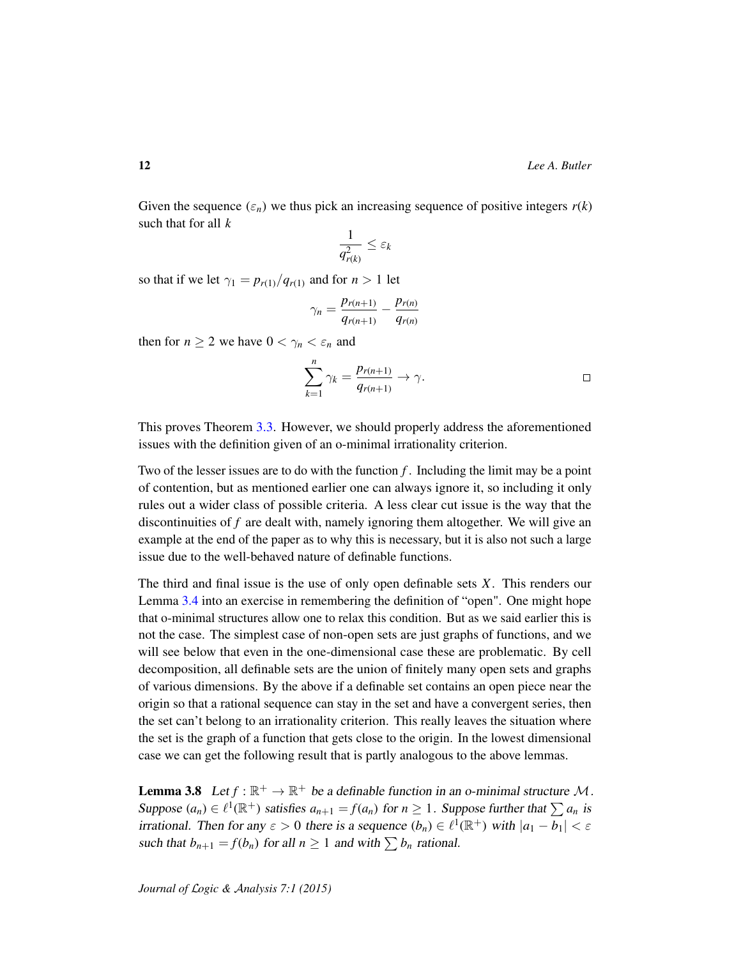Given the sequence  $(\varepsilon_n)$  we thus pick an increasing sequence of positive integers  $r(k)$ such that for all *k*

$$
\frac{1}{q_{r(k)}^2} \leq \varepsilon_k
$$

so that if we let  $\gamma_1 = p_{r(1)}/q_{r(1)}$  and for  $n > 1$  let

$$
\gamma_n = \frac{p_{r(n+1)}}{q_{r(n+1)}} - \frac{p_{r(n)}}{q_{r(n)}}
$$

then for  $n \geq 2$  we have  $0 < \gamma_n < \varepsilon_n$  and

$$
\sum_{k=1}^{n} \gamma_k = \frac{p_{r(n+1)}}{q_{r(n+1)}} \to \gamma.
$$

This proves Theorem [3.3.](#page-7-0) However, we should properly address the aforementioned issues with the definition given of an o-minimal irrationality criterion.

Two of the lesser issues are to do with the function *f* . Including the limit may be a point of contention, but as mentioned earlier one can always ignore it, so including it only rules out a wider class of possible criteria. A less clear cut issue is the way that the discontinuities of *f* are dealt with, namely ignoring them altogether. We will give an example at the end of the paper as to why this is necessary, but it is also not such a large issue due to the well-behaved nature of definable functions.

The third and final issue is the use of only open definable sets *X*. This renders our Lemma [3.4](#page-8-0) into an exercise in remembering the definition of "open". One might hope that o-minimal structures allow one to relax this condition. But as we said earlier this is not the case. The simplest case of non-open sets are just graphs of functions, and we will see below that even in the one-dimensional case these are problematic. By cell decomposition, all definable sets are the union of finitely many open sets and graphs of various dimensions. By the above if a definable set contains an open piece near the origin so that a rational sequence can stay in the set and have a convergent series, then the set can't belong to an irrationality criterion. This really leaves the situation where the set is the graph of a function that gets close to the origin. In the lowest dimensional case we can get the following result that is partly analogous to the above lemmas.

**Lemma 3.8** Let  $f : \mathbb{R}^+ \to \mathbb{R}^+$  be a definable function in an o-minimal structure M. Suppose  $(a_n) \in \ell^1(\mathbb{R}^+)$  satisfies  $a_{n+1} = f(a_n)$  for  $n \geq 1$ . Suppose further that  $\sum a_n$  is irrational. Then for any  $\varepsilon > 0$  there is a sequence  $(b_n) \in \ell^1(\mathbb{R}^+)$  with  $|a_1 - b_1| < \varepsilon$ such that  $b_{n+1} = f(b_n)$  for all  $n \ge 1$  and with  $\sum b_n$  rational.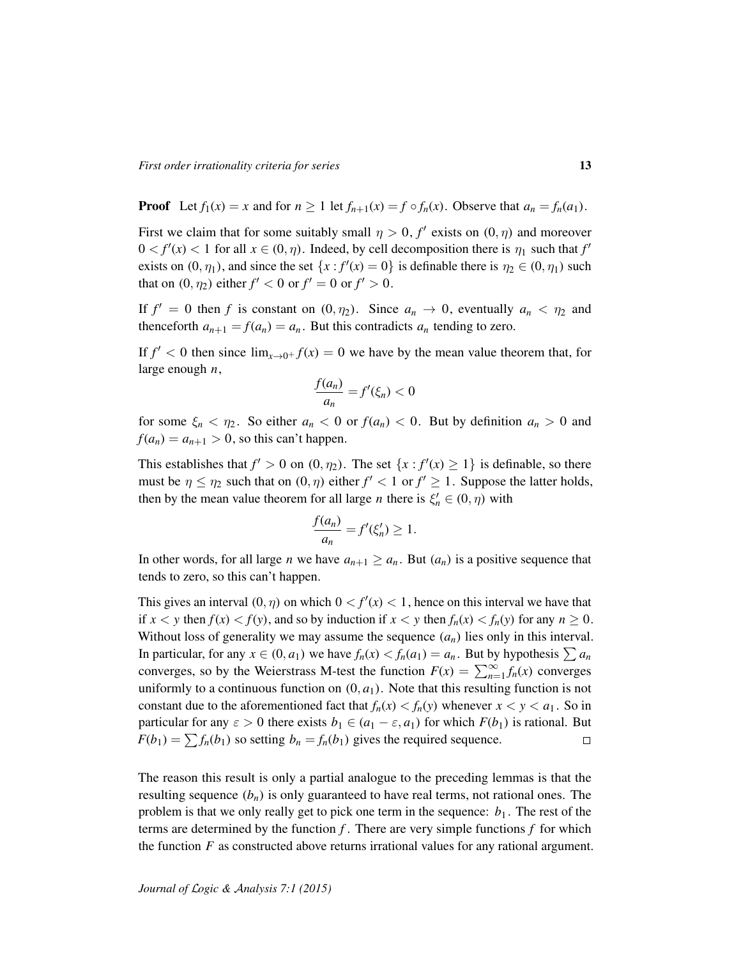**Proof** Let  $f_1(x) = x$  and for  $n \ge 1$  let  $f_{n+1}(x) = f \circ f_n(x)$ . Observe that  $a_n = f_n(a_1)$ .

First we claim that for some suitably small  $\eta > 0$ ,  $f'$  exists on  $(0, \eta)$  and moreover  $0 < f'(x) < 1$  for all  $x \in (0, \eta)$ . Indeed, by cell decomposition there is  $\eta_1$  such that  $f'$ exists on  $(0, \eta_1)$ , and since the set  $\{x : f'(x) = 0\}$  is definable there is  $\eta_2 \in (0, \eta_1)$  such that on  $(0, \eta_2)$  either  $f' < 0$  or  $f' = 0$  or  $f' > 0$ .

If  $f' = 0$  then *f* is constant on  $(0, \eta_2)$ . Since  $a_n \to 0$ , eventually  $a_n < \eta_2$  and thenceforth  $a_{n+1} = f(a_n) = a_n$ . But this contradicts  $a_n$  tending to zero.

If  $f' < 0$  then since  $\lim_{x\to 0^+} f(x) = 0$  we have by the mean value theorem that, for large enough *n*,

$$
\frac{f(a_n)}{a_n} = f'(\xi_n) < 0
$$

for some  $\xi_n < \eta_2$ . So either  $a_n < 0$  or  $f(a_n) < 0$ . But by definition  $a_n > 0$  and  $f(a_n) = a_{n+1} > 0$ , so this can't happen.

This establishes that  $f' > 0$  on  $(0, \eta_2)$ . The set  $\{x : f'(x) \ge 1\}$  is definable, so there must be  $\eta \leq \eta_2$  such that on  $(0, \eta)$  either  $f' < 1$  or  $f' \geq 1$ . Suppose the latter holds, then by the mean value theorem for all large *n* there is  $\xi'_n \in (0, \eta)$  with

$$
\frac{f(a_n)}{a_n} = f'(\xi'_n) \ge 1.
$$

In other words, for all large *n* we have  $a_{n+1} \ge a_n$ . But  $(a_n)$  is a positive sequence that tends to zero, so this can't happen.

This gives an interval  $(0, \eta)$  on which  $0 < f'(x) < 1$ , hence on this interval we have that if  $x < y$  then  $f(x) < f(y)$ , and so by induction if  $x < y$  then  $f_n(x) < f_n(y)$  for any  $n \ge 0$ . Without loss of generality we may assume the sequence  $(a_n)$  lies only in this interval. In particular, for any  $x \in (0, a_1)$  we have  $f_n(x) < f_n(a_1) = a_n$ . But by hypothesis  $\sum a_n$ converges, so by the Weierstrass M-test the function  $F(x) = \sum_{n=1}^{\infty} f_n(x)$  converges uniformly to a continuous function on  $(0, a<sub>1</sub>)$ . Note that this resulting function is not constant due to the aforementioned fact that  $f_n(x) < f_n(y)$  whenever  $x < y < a_1$ . So in particular for any  $\varepsilon > 0$  there exists  $b_1 \in (a_1 - \varepsilon, a_1)$  for which  $F(b_1)$  is rational. But  $F(b_1) = \sum f_n(b_1)$  so setting  $b_n = f_n(b_1)$  gives the required sequence.  $\Box$ 

The reason this result is only a partial analogue to the preceding lemmas is that the resulting sequence  $(b_n)$  is only guaranteed to have real terms, not rational ones. The problem is that we only really get to pick one term in the sequence:  $b_1$ . The rest of the terms are determined by the function  $f$ . There are very simple functions  $f$  for which the function *F* as constructed above returns irrational values for any rational argument.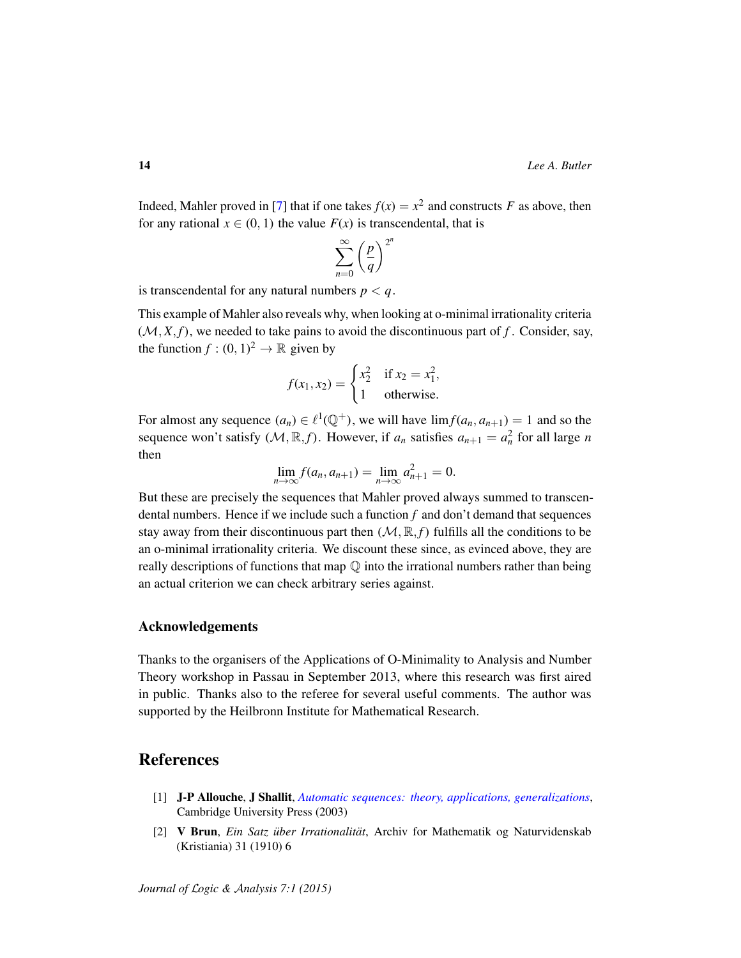Indeed, Mahler proved in [\[7\]](#page-14-8) that if one takes  $f(x) = x^2$  and constructs *F* as above, then for any rational  $x \in (0, 1)$  the value  $F(x)$  is transcendental, that is

$$
\sum_{n=0}^{\infty} \left(\frac{p}{q}\right)^{2^n}
$$

is transcendental for any natural numbers  $p < q$ .

This example of Mahler also reveals why, when looking at o-minimal irrationality criteria  $(M, X, f)$ , we needed to take pains to avoid the discontinuous part of f. Consider, say, the function  $f: (0, 1)^2 \to \mathbb{R}$  given by

$$
f(x_1, x_2) = \begin{cases} x_2^2 & \text{if } x_2 = x_1^2, \\ 1 & \text{otherwise.} \end{cases}
$$

For almost any sequence  $(a_n) \in \ell^1(\mathbb{Q}^+)$ , we will have  $\lim f(a_n, a_{n+1}) = 1$  and so the sequence won't satisfy  $(M, \mathbb{R}, f)$ . However, if  $a_n$  satisfies  $a_{n+1} = a_n^2$  for all large *n* then

$$
\lim_{n \to \infty} f(a_n, a_{n+1}) = \lim_{n \to \infty} a_{n+1}^2 = 0.
$$

But these are precisely the sequences that Mahler proved always summed to transcendental numbers. Hence if we include such a function *f* and don't demand that sequences stay away from their discontinuous part then  $(M, \mathbb{R}, f)$  fulfills all the conditions to be an o-minimal irrationality criteria. We discount these since, as evinced above, they are really descriptions of functions that map  $\mathbb Q$  into the irrational numbers rather than being an actual criterion we can check arbitrary series against.

#### Acknowledgements

Thanks to the organisers of the Applications of O-Minimality to Analysis and Number Theory workshop in Passau in September 2013, where this research was first aired in public. Thanks also to the referee for several useful comments. The author was supported by the Heilbronn Institute for Mathematical Research.

# **References**

- <span id="page-13-1"></span>[1] J-P Allouche, J Shallit, *[Automatic sequences: theory, applications, generalizations](http://dx.doi.org/10.1017/CBO9780511546563)*, Cambridge University Press (2003)
- <span id="page-13-0"></span>[2] V Brun, *Ein Satz über Irrationalität*, Archiv for Mathematik og Naturvidenskab (Kristiania) 31 (1910) 6